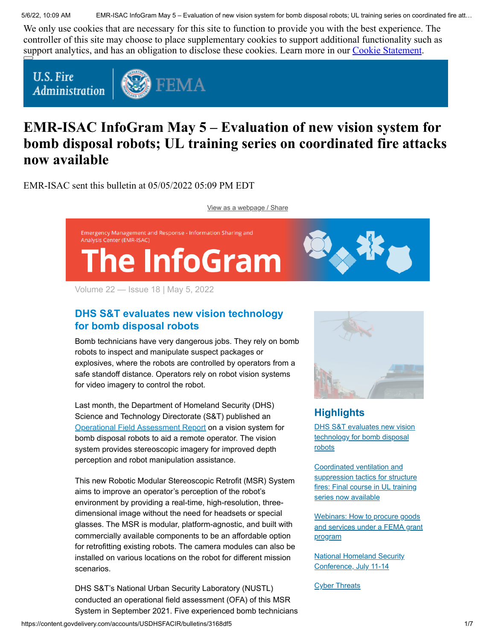5/6/22, 10:09 AM EMR-ISAC InfoGram May 5 – Evaluation of new vision system for bomb disposal robots; UL training series on coordinated fire att…

We only use cookies that are necessary for this site to function to provide you with the best experience. The controller of this site may choose to place supplementary cookies to support additional functionality such as support analytics, and has an obligation to disclose these cookies. Learn more in our [Cookie Statement.](https://subscriberhelp.granicus.com/s/article/Cookies)

**U.S. Fire** Administration



# **EMR-ISAC InfoGram May 5 – Evaluation of new vision system for bomb disposal robots; UL training series on coordinated fire attacks now available**

EMR-ISAC sent this bulletin at 05/05/2022 05:09 PM EDT

[View as a webpage / Share](https://content.govdelivery.com/accounts/USDHSFACIR/bulletins/3168df5)



Volume 22 — Issue 18 | May 5, 2022

# <span id="page-0-0"></span>**DHS S&T evaluates new vision technology for bomb disposal robots**

Bomb technicians have very dangerous jobs. They rely on bomb robots to inspect and manipulate suspect packages or explosives, where the robots are controlled by operators from a safe standoff distance. Operators rely on robot vision systems for video imagery to control the robot.

Last month, the Department of Homeland Security (DHS) Science and Technology Directorate (S&T) published an [Operational Field Assessment Report](https://www.dhs.gov/science-and-technology/publication/robotic-modular-stereoscopic-retrofit-system) on a vision system for bomb disposal robots to aid a remote operator. The vision system provides stereoscopic imagery for improved depth perception and robot manipulation assistance.

This new Robotic Modular Stereoscopic Retrofit (MSR) System aims to improve an operator's perception of the robot's environment by providing a real-time, high-resolution, threedimensional image without the need for headsets or special glasses. The MSR is modular, platform-agnostic, and built with commercially available components to be an affordable option for retrofitting existing robots. The camera modules can also be installed on various locations on the robot for different mission scenarios.

DHS S&T's National Urban Security Laboratory (NUSTL) conducted an operational field assessment (OFA) of this MSR System in September 2021. Five experienced bomb technicians



# **Highlights**

[DHS S&T evaluates new vision](#page-0-0) technology for bomb disposal robots

Coordinated ventilation and [suppression tactics for structure](#page-1-0) fires: Final course in UL training series now available

Webinars: How to procure goods [and services under a FEMA grant](#page-2-0) program

**[National Homeland Security](#page-3-0)** Conference, July 11-14

**[Cyber Threats](#page-4-0)**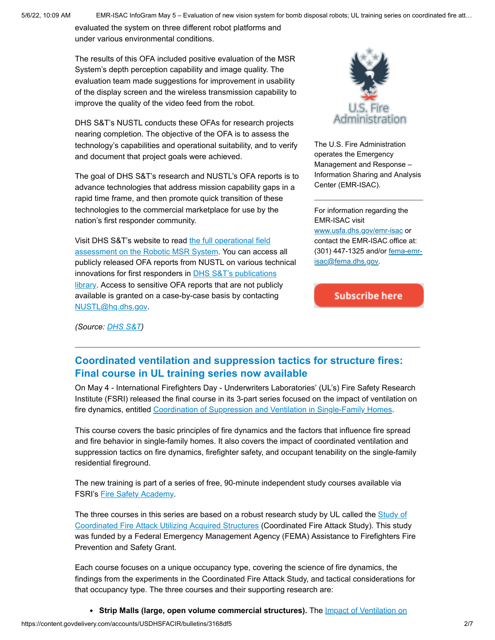5/6/22, 10:09 AM EMR-ISAC InfoGram May 5 – Evaluation of new vision system for bomb disposal robots; UL training series on coordinated fire att…

evaluated the system on three different robot platforms and under various environmental conditions.

The results of this OFA included positive evaluation of the MSR System's depth perception capability and image quality. The evaluation team made suggestions for improvement in usability of the display screen and the wireless transmission capability to improve the quality of the video feed from the robot.

DHS S&T's NUSTL conducts these OFAs for research projects nearing completion. The objective of the OFA is to assess the technology's capabilities and operational suitability, and to verify and document that project goals were achieved.

The goal of DHS S&T's research and NUSTL's OFA reports is to advance technologies that address mission capability gaps in a rapid time frame, and then promote quick transition of these technologies to the commercial marketplace for use by the nation's first responder community.

Visit DHS S&T's website to read the full operational field [assessment on the Robotic MSR System. You can acces](https://www.dhs.gov/science-and-technology/publication/robotic-modular-stereoscopic-retrofit-system)s all publicly released OFA reports from NUSTL on various technical innovations for first responders in **DHS S&T's publications** library. Access to sensitive OFA reports that are not publicly available is granted on a case-by-case basis by contacting [NUSTL@hq.dhs.gov](mailto:NUSTL@hq.dhs.gov).



The U.S. Fire Administration operates the Emergency Management and Response – Information Sharing and Analysis Center (EMR-ISAC).

For information regarding the EMR-ISAC visit [www.usfa.dhs.gov/emr-isac](https://www.usfa.fema.gov/operations/ops_cip.html) or contact the EMR-ISAC office at: [\(301\) 447-1325 and/or fema-emr](mailto:fema-emr-isac@fema.dhs.gov)isac@fema.dhs.gov.

**Subscribe here** 

*(Source: [DHS S&T](https://www.dhs.gov/science-and-technology/publication/robotic-modular-stereoscopic-retrofit-system))*

## <span id="page-1-0"></span>**Coordinated ventilation and suppression tactics for structure fires: Final course in UL training series now available**

On May 4 - International Firefighters Day - Underwriters Laboratories' (UL's) Fire Safety Research Institute (FSRI) released the final course in its 3-part series focused on the impact of ventilation on fire dynamics, entitled [Coordination of Suppression and Ventilation in Single-Family Homes](https://fsri.org/research-update/new-fsri-online-training-addresses-coordination-suppression-and-ventilation-single).

This course covers the basic principles of fire dynamics and the factors that influence fire spread and fire behavior in single-family homes. It also covers the impact of coordinated ventilation and suppression tactics on fire dynamics, firefighter safety, and occupant tenability on the single-family residential fireground.

The new training is part of a series of free, 90-minute independent study courses available via FSRI's [Fire Safety Academy](https://training.fsri.org/).

The three courses in this series are based on a robust research study by UL called the **Study of** [Coordinated Fire Attack Utilizing Acquired Structures \(Coordinated Fire Attack Study\). This stud](https://fsri.org/research/study-coordinated-fire-attack-utilizing-acquired-structures)y was funded by a Federal Emergency Management Agency (FEMA) Assistance to Firefighters Fire Prevention and Safety Grant.

Each course focuses on a unique occupancy type, covering the science of fire dynamics, the findings from the experiments in the Coordinated Fire Attack Study, and tactical considerations for that occupancy type. The three courses and their supporting research are:

**[Strip Malls \(large, open volume commercial structures\).](https://fsri.org/research-update/new-fsri-online-training-addresses-impact-ventilation-commercial-structure-fires)** The Impact of Ventilation on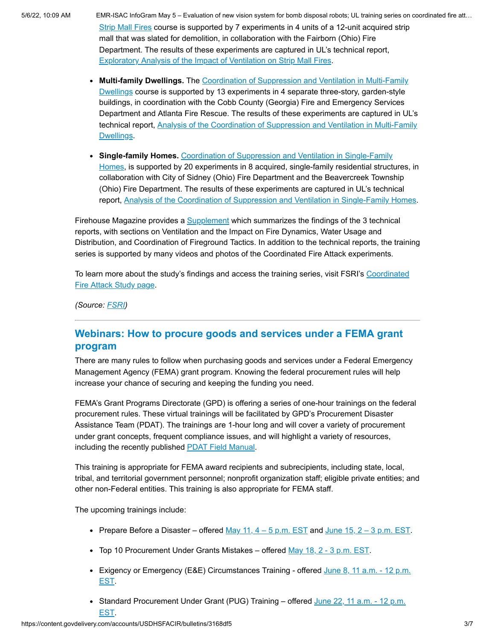5/6/22, 10:09 AM EMR-ISAC InfoGram May 5 – Evaluation of new vision system for bomb disposal robots; UL training series on coordinated fire att… [Strip Mall Fires course is supported by 7 experiments in 4 units of a 12-unit acquired strip](https://fsri.org/research-update/new-fsri-online-training-addresses-impact-ventilation-commercial-structure-fires) mall that was slated for demolition, in collaboration with the Fairborn (Ohio) Fire Department. The results of these experiments are captured in UL's technical report, [Exploratory Analysis of the Impact of Ventilation on Strip Mall Fires.](https://fsri.org/research-update/technical-report-released-strip-mall-experiments)

- **Multi-family Dwellings.** The Coordination of Suppression and Ventilation in Multi-Family [Dwellings course is supported by 13 experiments in 4 separate three-story, garden-style](https://fsri.org/research-update/new-fsri-online-training-addresses-coordination-suppression-and-ventilation-multi) buildings, in coordination with the Cobb County (Georgia) Fire and Emergency Services Department and Atlanta Fire Rescue. The results of these experiments are captured in UL's [technical report, Analysis of the Coordination of Suppression and Ventilation in Multi-Family](https://fsri.org/research-update/technical-report-released-multi-family-dwellings-experiments) Dwellings.
- **Single-family Homes.** Coordination of Suppression and Ventilation in Single-Family [Homes, is supported by 20 experiments in 8 acquired, single-family residential struct](https://fsri.org/resource/coordination-suppression-and-ventilation-single-family-homes)ures, in collaboration with City of Sidney (Ohio) Fire Department and the Beavercreek Township (Ohio) Fire Department. The results of these experiments are captured in UL's technical report, [Analysis of the Coordination of Suppression and Ventilation in Single-Family Homes](https://fsri.org/research-update/technical-report-released-single-family-homes-experiments).

Firehouse Magazine provides a [Supplement](https://d1gi3fvbl0xj2a.cloudfront.net/files/2021-07/Firehouse_Supplement_Final_09232020_1.pdf) which summarizes the findings of the 3 technical reports, with sections on Ventilation and the Impact on Fire Dynamics, Water Usage and Distribution, and Coordination of Fireground Tactics. In addition to the technical reports, the training series is supported by many videos and photos of the Coordinated Fire Attack experiments.

[To learn more about the study's findings and access the training series, visit FSRI's Coordinated](https://fsri.org/research/study-coordinated-fire-attack-utilizing-acquired-structures) Fire Attack Study page.

*(Source: [FSRI](https://fsri.org/research-update/new-fsri-online-training-addresses-coordination-suppression-and-ventilation-single))*

### <span id="page-2-0"></span>**Webinars: How to procure goods and services under a FEMA grant program**

There are many rules to follow when purchasing goods and services under a Federal Emergency Management Agency (FEMA) grant program. Knowing the federal procurement rules will help increase your chance of securing and keeping the funding you need.

FEMA's Grant Programs Directorate (GPD) is offering a series of one-hour trainings on the federal procurement rules. These virtual trainings will be facilitated by GPD's Procurement Disaster Assistance Team (PDAT). The trainings are 1-hour long and will cover a variety of procurement under grant concepts, frequent compliance issues, and will highlight a variety of resources, including the recently published [PDAT Field Manual.](https://www.fema.gov/sites/default/files/documents/fema_PDAT-field-manual_102021.pdf)

This training is appropriate for FEMA award recipients and subrecipients, including state, local, tribal, and territorial government personnel; nonprofit organization staff; eligible private entities; and other non-Federal entities. This training is also appropriate for FEMA staff.

The upcoming trainings include:

- Prepare Before a Disaster offered May 11,  $4 5$  p.m. EST and June 15,  $2 3$  p.m. EST.
- Top 10 Procurement Under Grants Mistakes offered  $May$  18,  $2 3$  p.m. EST.
- Exigency or Emergency (E&E) Circumstances Training offered June  $8$ , 11 a.m. 12 p.m. EST.
- Standard Procurement Under Grant (PUG) Training offered June  $22, 11$  a.m.  $-12$  p.m. EST.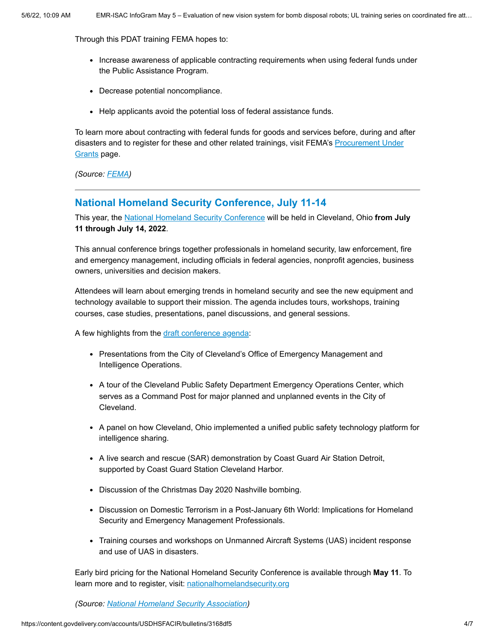Through this PDAT training FEMA hopes to:

- Increase awareness of applicable contracting requirements when using federal funds under the Public Assistance Program.
- Decrease potential noncompliance.
- Help applicants avoid the potential loss of federal assistance funds.

To learn more about contracting with federal funds for goods and services before, during and after [disasters and to register for these and other related trainings, visit FEMA's Procurement Under](https://www.fema.gov/grants/procurement) Grants page.

*(Source: [FEMA](https://www.fema.gov/grants/procurement/training))*

### <span id="page-3-0"></span>**National Homeland Security Conference, July 11-14**

This year, the [National Homeland Security Conference](http://nationalhomelandsecurity.org/) will be held in Cleveland, Ohio **from July 11 through July 14, 2022**.

This annual conference brings together professionals in homeland security, law enforcement, fire and emergency management, including officials in federal agencies, nonprofit agencies, business owners, universities and decision makers.

Attendees will learn about emerging trends in homeland security and see the new equipment and technology available to support their mission. The agenda includes tours, workshops, training courses, case studies, presentations, panel discussions, and general sessions.

A few highlights from the [draft conference agenda:](https://nationalhomelandsecurity.org/program/2022/2022_NHSC_Cleveland_v05.03.pdf)

- Presentations from the City of Cleveland's Office of Emergency Management and Intelligence Operations.
- A tour of the Cleveland Public Safety Department Emergency Operations Center, which serves as a Command Post for major planned and unplanned events in the City of Cleveland.
- A panel on how Cleveland, Ohio implemented a unified public safety technology platform for intelligence sharing.
- A live search and rescue (SAR) demonstration by Coast Guard Air Station Detroit, supported by Coast Guard Station Cleveland Harbor.
- Discussion of the Christmas Day 2020 Nashville bombing.
- Discussion on Domestic Terrorism in a Post-January 6th World: Implications for Homeland Security and Emergency Management Professionals.
- Training courses and workshops on Unmanned Aircraft Systems (UAS) incident response and use of UAS in disasters.

Early bird pricing for the National Homeland Security Conference is available through **May 11**. To learn more and to register, visit: [nationalhomelandsecurity.org](http://nationalhomelandsecurity.org/)

*(Source: [National Homeland Security Association\)](http://nationalhomelandsecurity.org/)*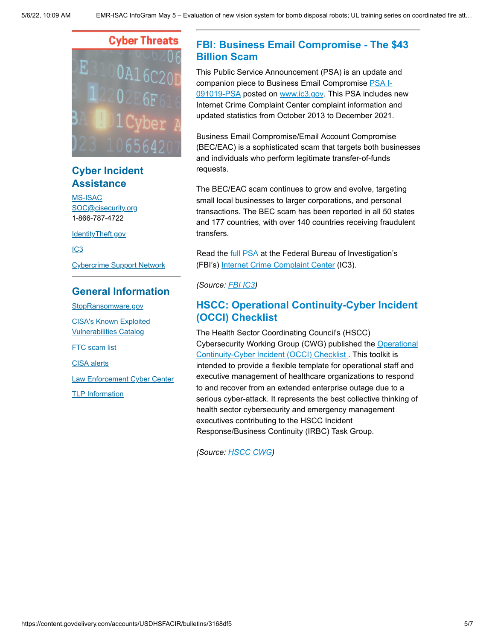# **Cyber Threats**

# **Cyber Incident Assistance**

[MS-ISAC](https://www.cisecurity.org/ms-isac/) [SOC@cisecurity.org](mailto:SOC@cisecurity.org) 1-866-787-4722

[IdentityTheft.gov](https://identitytheft.gov/)

[IC3](https://www.ic3.gov/default.aspx)

[Cybercrime Support Network](https://fraudsupport.org/)

### **General Information**

[StopRansomware.gov](https://www.cisa.gov/stopransomware) [CISA's Known Exploited](https://www.cisa.gov/known-exploited-vulnerabilities-catalog)

Vulnerabilities Catalog

**FTC** scam list

[CISA alerts](https://us-cert.cisa.gov/ncas)

[Law Enforcement Cyber Center](https://www.iacpcybercenter.org/)

[TLP Information](https://us-cert.cisa.gov/tlp)

## <span id="page-4-0"></span>**FBI: Business Email Compromise - The \$43 Billion Scam**

This Public Service Announcement (PSA) is an update and companion piece to Business Email Compromise PSA I-[091019-PSA posted on www.ic3.gov. This PSA includes](https://www.ic3.gov/Media/Y2019/PSA190910) new Internet Crime Complaint Center complaint information and updated statistics from October 2013 to December 2021.

Business Email Compromise/Email Account Compromise (BEC/EAC) is a sophisticated scam that targets both businesses and individuals who perform legitimate transfer-of-funds requests.

The BEC/EAC scam continues to grow and evolve, targeting small local businesses to larger corporations, and personal transactions. The BEC scam has been reported in all 50 states and 177 countries, with over 140 countries receiving fraudulent transfers.

Read the **full PSA** at the Federal Bureau of Investigation's (FBI's) [Internet Crime Complaint Center](https://www.ic3.gov/Home/ConsumerAlerts) (IC3).

*(Source: [FBI IC3\)](https://www.ic3.gov/Media/Y2022/PSA220504)*

### **HSCC: Operational Continuity-Cyber Incident (OCCI) Checklist**

The Health Sector Coordinating Council's (HSCC) [Cybersecurity Working Group \(CWG\) published the Operational](https://click.connect.hhs.gov/?qs=9155b1930f7148f4a656969b7384d9c4943470911d4a020ead2adff9dba7d4f42aadccceef1b1e0d51aa66381623a04683c080e6e517820c) Continuity-Cyber Incident (OCCI) Checklist . This toolkit is intended to provide a flexible template for operational staff and executive management of healthcare organizations to respond to and recover from an extended enterprise outage due to a serious cyber-attack. It represents the best collective thinking of health sector cybersecurity and emergency management executives contributing to the HSCC Incident Response/Business Continuity (IRBC) Task Group.

*(Source: [HSCC CWG](https://healthsectorcouncil.org/occi/))*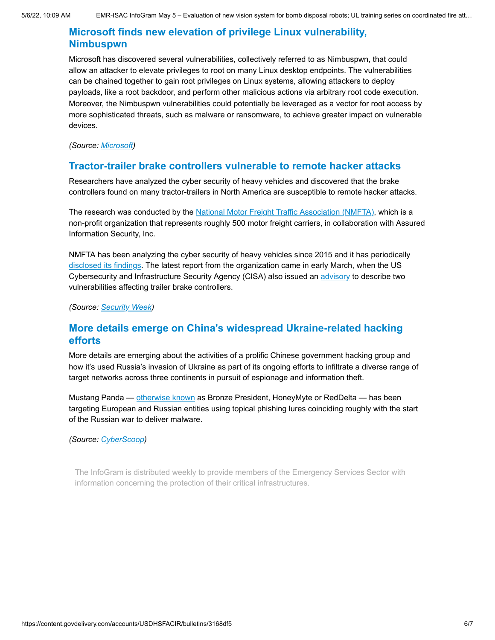### **Microsoft finds new elevation of privilege Linux vulnerability, Nimbuspwn**

Microsoft has discovered several vulnerabilities, collectively referred to as Nimbuspwn, that could allow an attacker to elevate privileges to root on many Linux desktop endpoints. The vulnerabilities can be chained together to gain root privileges on Linux systems, allowing attackers to deploy payloads, like a root backdoor, and perform other malicious actions via arbitrary root code execution. Moreover, the Nimbuspwn vulnerabilities could potentially be leveraged as a vector for root access by more sophisticated threats, such as malware or ransomware, to achieve greater impact on vulnerable devices.

*(Source: [Microsoft](https://www.microsoft.com/security/blog/2022/04/26/microsoft-finds-new-elevation-of-privilege-linux-vulnerability-nimbuspwn/))*

### **Tractor-trailer brake controllers vulnerable to remote hacker attacks**

Researchers have analyzed the cyber security of heavy vehicles and discovered that the brake controllers found on many tractor-trailers in North America are susceptible to remote hacker attacks.

The research was conducted by the [National Motor Freight Traffic Association \(NMFTA\)](http://www.nmfta.org/Pages/ctsrp), which is a non-profit organization that represents roughly 500 motor freight carriers, in collaboration with Assured Information Security, Inc.

NMFTA has been analyzing the cyber security of heavy vehicles since 2015 and it has periodically [disclosed its findings](https://www.cisa.gov/uscert/ics/advisories/icsa-20-219-01). The latest report from the organization came in early March, when the US Cybersecurity and Infrastructure Security Agency (CISA) also issued an [advisory](https://www.cisa.gov/uscert/ics/advisories/icsa-22-063-01) to describe two vulnerabilities affecting trailer brake controllers.

*(Source: [Security Week](https://www.securityweek.com/tractor-trailer-brake-controllers-vulnerable-remote-hacker-attacks))*

### **More details emerge on China's widespread Ukraine-related hacking efforts**

More details are emerging about the activities of a prolific Chinese government hacking group and how it's used Russia's invasion of Ukraine as part of its ongoing efforts to infiltrate a diverse range of target networks across three continents in pursuit of espionage and information theft.

Mustang Panda — [otherwise known](https://attack.mitre.org/groups/G0129/) as Bronze President, HoneyMyte or RedDelta — has been targeting European and Russian entities using topical phishing lures coinciding roughly with the start of the Russian war to deliver malware.

### *(Source: [CyberScoop](https://www.cyberscoop.com/chinese-hacking-europe-russia-ukraine/))*

The InfoGram is distributed weekly to provide members of the Emergency Services Sector with information concerning the protection of their critical infrastructures.